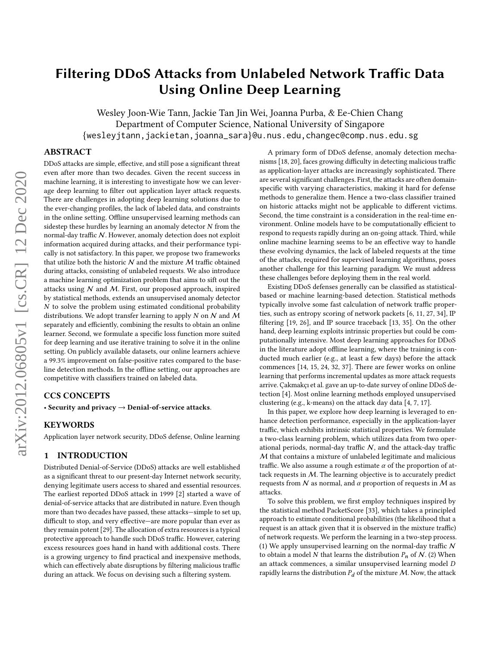Wesley Joon-Wie Tann, Jackie Tan Jin Wei, Joanna Purba, & Ee-Chien Chang Department of Computer Science, National University of Singapore {wesleyjtann,jackietan,joanna\_sara}@u.nus.edu,changec@comp.nus.edu.sg

# ABSTRACT

DDoS attacks are simple, effective, and still pose a significant threat even after more than two decades. Given the recent success in machine learning, it is interesting to investigate how we can leverage deep learning to filter out application layer attack requests. There are challenges in adopting deep learning solutions due to the ever-changing profiles, the lack of labeled data, and constraints in the online setting. Offline unsupervised learning methods can sidestep these hurdles by learning an anomaly detector  $N$  from the normal-day traffic N. However, anomaly detection does not exploit information acquired during attacks, and their performance typically is not satisfactory. In this paper, we propose two frameworks that utilize both the historic  $N$  and the mixture  $M$  traffic obtained during attacks, consisting of unlabeled requests. We also introduce a machine learning optimization problem that aims to sift out the attacks using  $N$  and  $M$ . First, our proposed approach, inspired by statistical methods, extends an unsupervised anomaly detector  $N$  to solve the problem using estimated conditional probability distributions. We adopt transfer learning to apply N on N and M separately and efficiently, combining the results to obtain an online learner. Second, we formulate a specific loss function more suited for deep learning and use iterative training to solve it in the online setting. On publicly available datasets, our online learners achieve a 99.3% improvement on false-positive rates compared to the baseline detection methods. In the offline setting, our approaches are competitive with classifiers trained on labeled data.

## CCS CONCEPTS

• Security and privacy  $\rightarrow$  Denial-of-service attacks.

#### **KEYWORDS**

Application layer network security, DDoS defense, Online learning

#### 1 INTRODUCTION

Distributed Denial-of-Service (DDoS) attacks are well established as a significant threat to our present-day Internet network security, denying legitimate users access to shared and essential resources. The earliest reported DDoS attack in 1999 [\[2\]](#page-11-0) started a wave of denial-of-service attacks that are distributed in nature. Even though more than two decades have passed, these attacks—simple to set up, difficult to stop, and very effective—are more popular than ever as they remain potent [\[29\]](#page-11-1). The allocation of extra resources is a typical protective approach to handle such DDoS traffic. However, catering excess resources goes hand in hand with additional costs. There is a growing urgency to find practical and inexpensive methods, which can effectively abate disruptions by filtering malicious traffic during an attack. We focus on devising such a filtering system.

A primary form of DDoS defense, anomaly detection mechanisms [\[18,](#page-11-2) [20\]](#page-11-3), faces growing difficulty in detecting malicious traffic as application-layer attacks are increasingly sophisticated. There are several significant challenges. First, the attacks are often domainspecific with varying characteristics, making it hard for defense methods to generalize them. Hence a two-class classifier trained on historic attacks might not be applicable to different victims. Second, the time constraint is a consideration in the real-time environment. Online models have to be computationally efficient to respond to requests rapidly during an on-going attack. Third, while online machine learning seems to be an effective way to handle these evolving dynamics, the lack of labeled requests at the time of the attacks, required for supervised learning algorithms, poses another challenge for this learning paradigm. We must address these challenges before deploying them in the real world.

Existing DDoS defenses generally can be classified as statisticalbased or machine learning-based detection. Statistical methods typically involve some fast calculation of network traffic properties, such as entropy scoring of network packets [\[6,](#page-11-4) [11,](#page-11-5) [27,](#page-11-6) [34\]](#page-11-7), IP filtering [\[19,](#page-11-8) [26\]](#page-11-9), and IP source traceback [\[13,](#page-11-10) [35\]](#page-11-11). On the other hand, deep learning exploits intrinsic properties but could be computationally intensive. Most deep learning approaches for DDoS in the literature adopt offline learning, where the training is conducted much earlier (e.g., at least a few days) before the attack commences [\[14,](#page-11-12) [15,](#page-11-13) [24,](#page-11-14) [32,](#page-11-15) [37\]](#page-11-16). There are fewer works on online learning that performs incremental updates as more attack requests arrive. Çakmakçı et al. gave an up-to-date survey of online DDoS detection [\[4\]](#page-11-17). Most online learning methods employed unsupervised clustering (e.g., k-means) on the attack day data [\[4,](#page-11-17) [7,](#page-11-18) [17\]](#page-11-19).

In this paper, we explore how deep learning is leveraged to enhance detection performance, especially in the application-layer traffic, which exhibits intrinsic statistical properties. We formulate a two-class learning problem, which utilizes data from two operational periods, normal-day traffic  $N$ , and the attack-day traffic M that contains a mixture of unlabeled legitimate and malicious traffic. We also assume a rough estimate  $\alpha$  of the proportion of attack requests in M. The learning objective is to accurately predict requests from  $N$  as normal, and  $\alpha$  proportion of requests in  $M$  as attacks.

To solve this problem, we first employ techniques inspired by the statistical method PacketScore [\[33\]](#page-11-20), which takes a principled approach to estimate conditional probabilities (the likelihood that a request is an attack given that it is observed in the mixture traffic) of network requests. We perform the learning in a two-step process. (1) We apply unsupervised learning on the normal-day traffic  $N$ to obtain a model N that learns the distribution  $P_n$  of N. (2) When an attack commences, a similar unsupervised learning model rapidly learns the distribution  $P_d$  of the mixture  $M$ . Now, the attack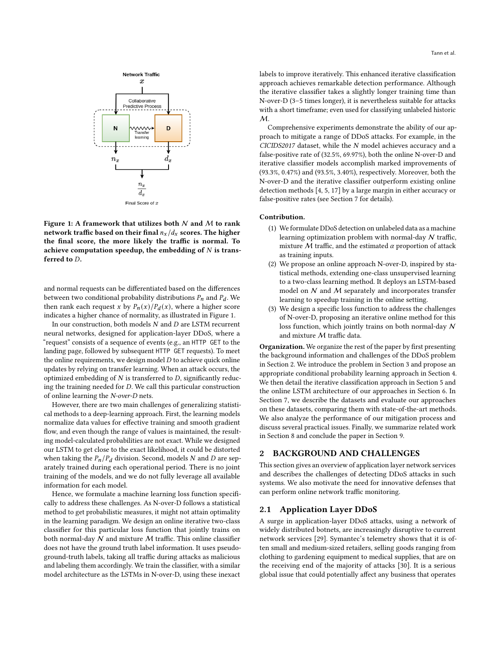<span id="page-1-0"></span>

Figure 1: A framework that utilizes both  $N$  and  $M$  to rank network traffic based on their final  $n_x/d_x$  scores. The higher the final score, the more likely the traffic is normal. To achieve computation speedup, the embedding of  $N$  is transferred to  $D$ .

and normal requests can be differentiated based on the differences between two conditional probability distributions  $P_n$  and  $P_d$ . We then rank each request x by  $P_n(x)/P_d(x)$ , where a higher score indicates a higher chance of normality, as illustrated in Figure [1.](#page-1-0)

In our construction, both models  $N$  and  $D$  are LSTM recurrent neural networks, designed for application-layer DDoS, where a "request" consists of a sequence of events (e.g., an HTTP GET to the landing page, followed by subsequent HTTP GET requests). To meet the online requirements, we design model  $D$  to achieve quick online updates by relying on transfer learning. When an attack occurs, the optimized embedding of  $N$  is transferred to  $D$ , significantly reducing the training needed for  $D$ . We call this particular construction of online learning the N-over-D nets.

However, there are two main challenges of generalizing statistical methods to a deep-learning approach. First, the learning models normalize data values for effective training and smooth gradient flow, and even though the range of values is maintained, the resulting model-calculated probabilities are not exact. While we designed our LSTM to get close to the exact likelihood, it could be distorted when taking the  $P_n / P_d$  division. Second, models N and D are separately trained during each operational period. There is no joint training of the models, and we do not fully leverage all available information for each model.

Hence, we formulate a machine learning loss function specifically to address these challenges. As N-over-D follows a statistical method to get probabilistic measures, it might not attain optimality in the learning paradigm. We design an online iterative two-class classifier for this particular loss function that jointly trains on both normal-day  $N$  and mixture  $M$  traffic. This online classifier does not have the ground truth label information. It uses pseudoground-truth labels, taking all traffic during attacks as malicious and labeling them accordingly. We train the classifier, with a similar model architecture as the LSTMs in N-over-D, using these inexact

labels to improve iteratively. This enhanced iterative classification approach achieves remarkable detection performance. Although the iterative classifier takes a slightly longer training time than N-over-D (3–5 times longer), it is nevertheless suitable for attacks with a short timeframe; even used for classifying unlabeled historic  $M_{\cdot}$ 

Comprehensive experiments demonstrate the ability of our approach to mitigate a range of DDoS attacks. For example, in the  $CICIDS2017$  dataset, while the  $N$  model achieves accuracy and a false-positive rate of (32.5%, 69.97%), both the online N-over-D and iterative classifier models accomplish marked improvements of (93.3%, 0.47%) and (93.5%, 3.40%), respectively. Moreover, both the N-over-D and the iterative classifier outperform existing online detection methods [\[4,](#page-11-17) [5,](#page-11-21) [17\]](#page-11-19) by a large margin in either accuracy or false-positive rates (see Section [7](#page-6-0) for details).

#### Contribution.

- (1) We formulate DDoS detection on unlabeled data as a machine learning optimization problem with normal-day  $N$  traffic, mixture  $M$  traffic, and the estimated  $\alpha$  proportion of attack as training inputs.
- (2) We propose an online approach N-over-D, inspired by statistical methods, extending one-class unsupervised learning to a two-class learning method. It deploys an LSTM-based model on  $N$  and  $M$  separately and incorporates transfer learning to speedup training in the online setting.
- (3) We design a specific loss function to address the challenges of N-over-D, proposing an iterative online method for this loss function, which jointly trains on both normal-day N and mixture M traffic data.

Organization. We organize the rest of the paper by first presenting the background information and challenges of the DDoS problem in Section [2.](#page-1-1) We introduce the problem in Section [3](#page-2-0) and propose an appropriate conditional probability learning approach in Section [4.](#page-2-1) We then detail the iterative classification approach in Section [5](#page-3-0) and the online LSTM architecture of our approaches in Section [6.](#page-3-1) In Section [7,](#page-6-0) we describe the datasets and evaluate our approaches on these datasets, comparing them with state-of-the-art methods. We also analyze the performance of our mitigation process and discuss several practical issues. Finally, we summarize related work in Section [8](#page-9-0) and conclude the paper in Section [9.](#page-10-0)

### <span id="page-1-1"></span>2 BACKGROUND AND CHALLENGES

This section gives an overview of application layer network services and describes the challenges of detecting DDoS attacks in such systems. We also motivate the need for innovative defenses that can perform online network traffic monitoring.

#### 2.1 Application Layer DDoS

A surge in application-layer DDoS attacks, using a network of widely distributed botnets, are increasingly disruptive to current network services [\[29\]](#page-11-1). Symantec's telemetry shows that it is often small and medium-sized retailers, selling goods ranging from clothing to gardening equipment to medical supplies, that are on the receiving end of the majority of attacks [\[30\]](#page-11-22). It is a serious global issue that could potentially affect any business that operates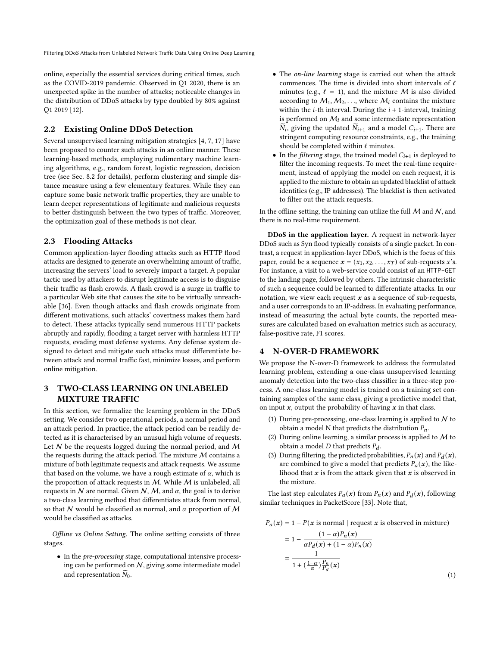online, especially the essential services during critical times, such as the COVID-2019 pandemic. Observed in Q1 2020, there is an unexpected spike in the number of attacks; noticeable changes in the distribution of DDoS attacks by type doubled by 80% against Q1 2019 [\[12\]](#page-11-23).

# 2.2 Existing Online DDoS Detection

Several unsupervised learning mitigation strategies [\[4,](#page-11-17) [7,](#page-11-18) [17\]](#page-11-19) have been proposed to counter such attacks in an online manner. These learning-based methods, employing rudimentary machine learning algorithms, e.g., random forest, logistic regression, decision tree (see Sec. [8.2](#page-10-1) for details), perform clustering and simple distance measure using a few elementary features. While they can capture some basic network traffic properties, they are unable to learn deeper representations of legitimate and malicious requests to better distinguish between the two types of traffic. Moreover, the optimization goal of these methods is not clear.

# 2.3 Flooding Attacks

Common application-layer flooding attacks such as HTTP flood attacks are designed to generate an overwhelming amount of traffic, increasing the servers' load to severely impact a target. A popular tactic used by attackers to disrupt legitimate access is to disguise their traffic as flash crowds. A flash crowd is a surge in traffic to a particular Web site that causes the site to be virtually unreachable [\[36\]](#page-11-24). Even though attacks and flash crowds originate from different motivations, such attacks' covertness makes them hard to detect. These attacks typically send numerous HTTP packets abruptly and rapidly, flooding a target server with harmless HTTP requests, evading most defense systems. Any defense system designed to detect and mitigate such attacks must differentiate between attack and normal traffic fast, minimize losses, and perform online mitigation.

# <span id="page-2-0"></span>3 TWO-CLASS LEARNING ON UNLABELED MIXTURE TRAFFIC

In this section, we formalize the learning problem in the DDoS setting. We consider two operational periods, a normal period and an attack period. In practice, the attack period can be readily detected as it is characterised by an unusual high volume of requests. Let  $N$  be the requests logged during the normal period, and  $M$ the requests during the attack period. The mixture  $M$  contains a mixture of both legitimate requests and attack requests. We assume that based on the volume, we have a rough estimate of  $\alpha$ , which is the proportion of attack requests in  $M$ . While  $M$  is unlabeled, all requests in N are normal. Given N, M, and  $\alpha$ , the goal is to derive a two-class learning method that differentiates attack from normal, so that N would be classified as normal, and  $\alpha$  proportion of M would be classified as attacks.

Offline vs Online Setting. The online setting consists of three stages.

• In the pre-processing stage, computational intensive processing can be performed on  $N$ , giving some intermediate model and representation  $N_0$ .

- The on-line learning stage is carried out when the attack commences. The time is divided into short intervals of  $\ell$ minutes (e.g.,  $\ell = 1$ ), and the mixture M is also divided according to  $M_1, M_2, \ldots$ , where  $M_i$  contains the mixture within the *i*-th interval. During the  $i + 1$ -interval, training is performed on  $M_i$  and some intermediate representation  $\widetilde{N}_i$ , giving the updated  $\widetilde{N}_{i+1}$  and a model  $C_{i+1}$ . There are stringent computing resource constraints, e.g., the training should be completed within  $\ell$  minutes.
- In the *filtering* stage, the trained model  $C_{i+1}$  is deployed to filter the incoming requests. To meet the real-time requirement, instead of applying the model on each request, it is applied to the mixture to obtain an updated blacklist of attack identities (e.g., IP addresses). The blacklist is then activated to filter out the attack requests.

In the offline setting, the training can utilize the full  $M$  and  $N$ , and there is no real-time requirement.

DDoS in the application layer. A request in network-layer DDoS such as Syn flood typically consists of a single packet. In contrast, a request in application-layer DDoS, which is the focus of this paper, could be a sequence  $\mathbf{x} = (x_1, x_2, \dots, x_T)$  of sub-requests x's. For instance, a visit to a web-service could consist of an HTTP-GET to the landing page, followed by others. The intrinsic characteristic of such a sequence could be learned to differentiate attacks. In our notation, we view each request  $x$  as a sequence of sub-requests, and a user corresponds to an IP-address. In evaluating performance, instead of measuring the actual byte counts, the reported measures are calculated based on evaluation metrics such as accuracy, false-positive rate, F1 scores.

# <span id="page-2-1"></span>4 N-OVER-D FRAMEWORK

We propose the N-over-D framework to address the formulated learning problem, extending a one-class unsupervised learning anomaly detection into the two-class classifier in a three-step process. A one-class learning model is trained on a training set containing samples of the same class, giving a predictive model that, on input  $x$ , output the probability of having  $x$  in that class.

- (1) During pre-processing, one-class learning is applied to  $N$  to obtain a model N that predicts the distribution  $P_n$ .
- (2) During online learning, a similar process is applied to  $M$  to obtain a model *D* that predicts  $P_d$ .
- (3) During filtering, the predicted probabilities,  $P_n(x)$  and  $P_d(x)$ , are combined to give a model that predicts  $P_a(x)$ , the likelihood that  $x$  is from the attack given that  $x$  is observed in the mixture.

The last step calculates  $P_a(x)$  from  $P_n(x)$  and  $P_d(x)$ , following similar techniques in PacketScore [\[33\]](#page-11-20). Note that,

$$
P_a(x) = 1 - P(x \text{ is normal} \mid \text{request } x \text{ is observed in mixture})
$$

<span id="page-2-2"></span>
$$
= 1 - \frac{(1 - \alpha)P_n(x)}{\alpha P_d(x) + (1 - \alpha)P_n(x)}
$$

$$
= \frac{1}{1 + (\frac{1 - \alpha}{\alpha})\frac{P_n}{P_d}(x)}
$$
(1)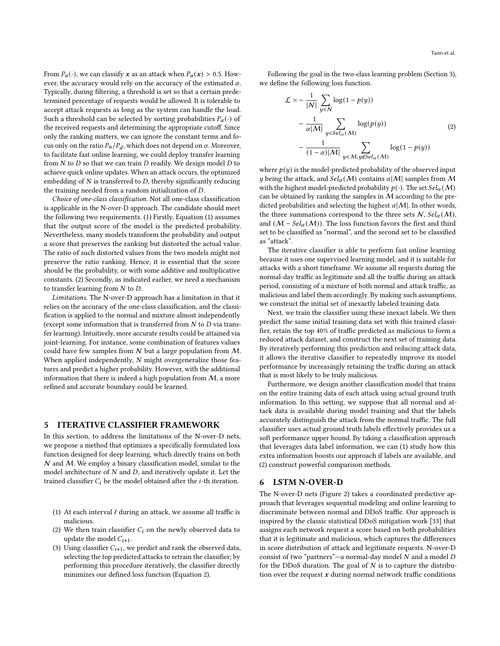From  $P_a(\cdot)$ , we can classify x as an attack when  $P_a(x) > 0.5$ . However, the accuracy would rely on the accuracy of the estimated  $\alpha$ . Typically, during filtering, a threshold is set so that a certain predetermined percentage of requests would be allowed. It is tolerable to accept attack requests as long as the system can handle the load. Such a threshold can be selected by sorting probabilities  $P_a(\cdot)$  of the received requests and determining the appropriate cutoff. Since only the ranking matters, we can ignore the constant terms and focus only on the ratio  $P_n/P_d$ , which does not depend on  $\alpha$ . Moreover, to facilitate fast online learning, we could deploy transfer learning from  $N$  to  $D$  so that we can train  $D$  readily. We design model  $D$  to achieve quick online updates. When an attack occurs, the optimized embedding of  $N$  is transferred to  $D$ , thereby significantly reducing the training needed from a random initialization of  $D$ .

Choice of one-class classification. Not all one-class classification is applicable in the N-over-D approach. The candidate should meet the following two requirements. (1) Firstly, Equation [\(1\)](#page-2-2) assumes that the output score of the model is the predicted probability. Nevertheless, many models transform the probability and output a score that preserves the ranking but distorted the actual value. The ratio of such distorted values from the two models might not preserve the ratio ranking. Hence, it is essential that the score should be the probability, or with some additive and multiplicative constants. (2) Secondly, as indicated earlier, we need a mechanism to transfer learning from  $N$  to  $D$ .

Limitations. The N-over-D approach has a limitation in that it relies on the accuracy of the one-class classification, and the classification is applied to the normal and mixture almost independently (except some information that is transferred from  $N$  to  $D$  via transfer learning). Intuitively, more accurate results could be attained via joint-learning. For instance, some combination of features values could have few samples from  $N$  but a large population from  $M$ . When applied independently,  $N$  might overgeneralize those features and predict a higher probability. However, with the additional information that there is indeed a high population from  $M$ , a more refined and accurate boundary could be learned.

# <span id="page-3-0"></span>5 ITERATIVE CLASSIFIER FRAMEWORK

In this section, to address the limitations of the N-over-D nets, we propose a method that optimizes a specifically formulated loss function designed for deep learning, which directly trains on both  $N$  and  $M$ . We employ a binary classification model, similar to the model architecture of  $N$  and  $D$ , and iteratively update it. Let the trained classifier  $C_i$  be the model obtained after the *i*-th iteration.

- (1) At each interval  $\ell$  during an attack, we assume all traffic is malicious.
- (2) We then train classifier  $C_i$  on the newly observed data to update the model  $C_{i+1}$ .
- (3) Using classifier  $C_{i+1}$ , we predict and rank the observed data, selecting the top predicted attacks to retrain the classifier; by performing this procedure iteratively, the classifier directly minimizes our defined loss function (Equation [2\)](#page-3-2).

Following the goal in the two-class learning problem (Section [3\)](#page-2-0), we define the following loss function.

<span id="page-3-2"></span>
$$
\mathcal{L} = -\frac{1}{|\mathcal{N}|} \sum_{y \in \mathcal{N}} \log(1 - p(y))
$$

$$
-\frac{1}{\alpha |\mathcal{M}|} \sum_{y \in Sel_{\alpha}(\mathcal{M})} \log(p(y))
$$
(2)
$$
-\frac{1}{(1-\alpha)|\mathcal{M}|} \sum_{y \in \mathcal{M}, y \notin Sel_{\alpha}(\mathcal{M})} \log(1 - p(y))
$$

where  $p(y)$  is the model-predicted probability of the observed input y being the attack, and  $Sel_{\alpha}(M)$  contains  $\alpha|M|$  samples from M with the highest model-predicted probability  $p(\cdot)$ . The set  $Sel_{\alpha}(M)$ can be obtained by ranking the samples in  $M$  according to the predicted probabilities and selecting the highest  $\alpha |M|$ . In other words, the three summations correspond to the three sets  $N$ ,  $Sel_{\alpha}(M)$ , and  $(M - Sel_{\alpha}(M))$ . The loss function favors the first and third set to be classified as "normal", and the second set to be classified as "attack".

The iterative classifier is able to perform fast online learning because it uses one supervised learning model, and it is suitable for attacks with a short timeframe. We assume all requests during the normal-day traffic as legitimate and all the traffic during an attack period, consisting of a mixture of both normal and attack traffic, as malicious and label them accordingly. By making such assumptions, we construct the initial set of inexactly labeled training data.

Next, we train the classifier using these inexact labels. We then predict the same initial training data set with this trained classifier, retain the top 40% of traffic predicted as malicious to form a reduced attack dataset, and construct the next set of training data. By iteratively performing this prediction and reducing attack data, it allows the iterative classifier to repeatedly improve its model performance by increasingly retaining the traffic during an attack that is most likely to be truly malicious.

Furthermore, we design another classification model that trains on the entire training data of each attack using actual ground truth information. In this setting, we suppose that all normal and attack data is available during model training and that the labels accurately distinguish the attack from the normal traffic. The full classifier uses actual ground truth labels effectively provides us a soft performance upper bound. By taking a classification approach that leverages data label information, we can (1) study how this extra information boosts our approach if labels are available, and (2) construct powerful comparison methods.

#### <span id="page-3-1"></span>6 LSTM N-OVER-D

The N-over-D nets (Figure [2\)](#page-4-0) takes a coordinated predictive approach that leverages sequential modeling and online learning to discriminate between normal and DDoS traffic. Our approach is inspired by the classic statistical DDoS mitigation work [\[33\]](#page-11-20) that assigns each network request a score based on both probabilities that it is legitimate and malicious, which captures the differences in score distribution of attack and legitimate requests. N-over-D consist of two "partners"—a normal-day model  $N$  and a model  $D$ for the DDoS duration. The goal of  $N$  is to capture the distribution over the request  $x$  during normal network traffic conditions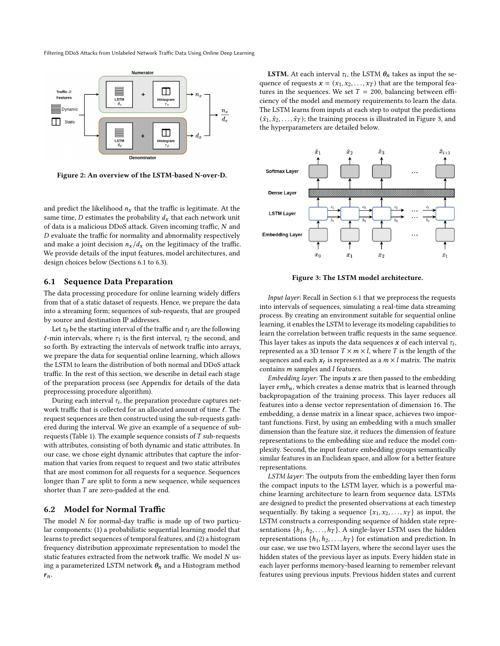<span id="page-4-0"></span>

Figure 2: An overview of the LSTM-based N-over-D.

and predict the likelihood  $n<sub>x</sub>$  that the traffic is legitimate. At the same time, *D* estimates the probability  $d_x$  that each network unit of data is a malicious DDoS attack. Given incoming traffic,  $N$  and  $D$  evaluate the traffic for normality and abnormality respectively and make a joint decision  $n_x/d_x$  on the legitimacy of the traffic. We provide details of the input features, model architectures, and design choices below (Sections [6.1](#page-4-1) to [6.3\)](#page-6-1).

#### <span id="page-4-1"></span>6.1 Sequence Data Preparation

The data processing procedure for online learning widely differs from that of a static dataset of requests. Hence, we prepare the data into a streaming form; sequences of sub-requests, that are grouped by source and destination IP addresses.

Let  $\tau_0$  be the starting interval of the traffic and  $\tau_i$  are the following  $\ell$ -min intervals, where  $\tau_1$  is the first interval,  $\tau_2$  the second, and so forth. By extracting the intervals of network traffic into arrays, we prepare the data for sequential online learning, which allows the LSTM to learn the distribution of both normal and DDoS attack traffic. In the rest of this section, we describe in detail each stage of the preparation process (see Appendix for details of the data preprocessing procedure algorithm).

During each interval  $\tau_i$ , the preparation procedure captures network traffic that is collected for an allocated amount of time ℓ. The request sequences are then constructed using the sub-requests gathered during the interval. We give an example of a sequence of sub-requests (Table [1\)](#page-5-0). The example sequence consists of  $T$  sub-requests with attributes, consisting of both dynamic and static attributes. In our case, we chose eight dynamic attributes that capture the information that varies from request to request and two static attributes that are most common for all requests for a sequence. Sequences longer than  $T$  are split to form a new sequence, while sequences shorter than  $T$  are zero-padded at the end.

## 6.2 Model for Normal Traffic

The model  $N$  for normal-day traffic is made up of two particular components: (1) a probabilistic sequential learning model that learns to predict sequences of temporal features, and (2) a histogram frequency distribution approximate representation to model the static features extracted from the network traffic. We model  $N$  using a parameterized LSTM network  $\theta_n$  and a Histogram method  $r_n$ .

**LSTM.** At each interval  $\tau_i$ , the LSTM  $\theta_n$  takes as input the sequence of requests  $\mathbf{x} = (x_1, x_2, \dots, x_T)$  that are the temporal features in the sequences. We set  $T = 200$ , balancing between efficiency of the model and memory requirements to learn the data. The LSTM learns from inputs at each step to output the predictions  $(\hat{x}_1, \hat{x}_2, \dots, \hat{x}_T)$ ; the training process is illustrated in Figure [3,](#page-4-2) and the hyperparameters are detailed below.

<span id="page-4-2"></span>

Figure 3: The LSTM model architecture.

Input layer: Recall in Section [6.1](#page-4-1) that we preprocess the requests into intervals of sequences, simulating a real-time data streaming process. By creating an environment suitable for sequential online learning, it enables the LSTM to leverage its modeling capabilities to learn the correlation between traffic requests in the same sequence. This layer takes as inputs the data sequences  $\bm{x}$  of each interval  $\tau_i,$ represented as a 3D tensor  $T \times m \times l$ , where T is the length of the sequences and each  $x_t$  is represented as a  $m \times l$  matrix. The matrix contains  $m$  samples and  $l$  features.

Embedding layer: The inputs  $x$  are then passed to the embedding layer  $emb_n$ , which creates a dense matrix that is learned through backpropagation of the training process. This layer reduces all features into a dense vector representation of dimension 16. The embedding, a dense matrix in a linear space, achieves two important functions. First, by using an embedding with a much smaller dimension than the feature size, it reduces the dimension of feature representations to the embedding size and reduce the model complexity. Second, the input feature embedding groups semantically similar features in an Euclidean space, and allow for a better feature representations.

LSTM layer: The outputs from the embedding layer then form the compact inputs to the LSTM layer, which is a powerful machine learning architecture to learn from sequence data. LSTMs are designed to predict the presented observations at each timestep sequentially. By taking a sequence  $\{x_1, x_2, \ldots, x_T\}$  as input, the LSTM constructs a corresponding sequence of hidden state representations  $\{h_1, h_2, \ldots, h_T\}$ . A single-layer LSTM uses the hidden representations  $\{h_1, h_2, \ldots, h_T\}$  for estimation and prediction. In our case, we use two LSTM layers, where the second layer uses the hidden states of the previous layer as inputs. Every hidden state in each layer performs memory-based learning to remember relevant features using previous inputs. Previous hidden states and current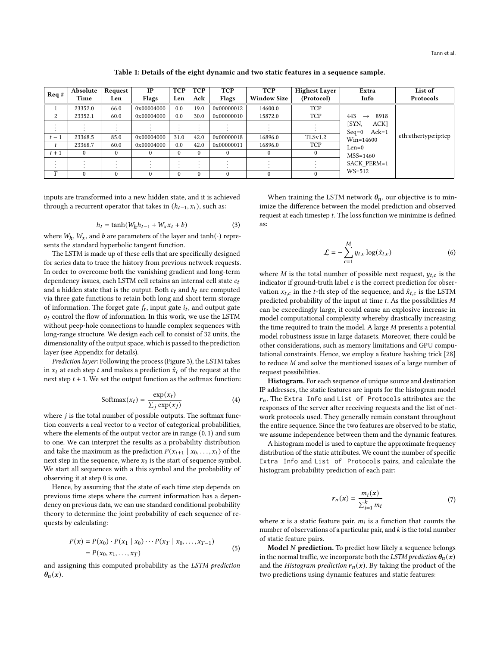Table 1: Details of the eight dynamic and two static features in a sequence sample.

<span id="page-5-0"></span>

| Req#   | Absolute | Request  | $_{\rm IP}$ | <b>TCP</b> | <b>TCP</b> | <b>TCP</b> | <b>TCP</b>         | Highest Layer | Extra                              | List of              |
|--------|----------|----------|-------------|------------|------------|------------|--------------------|---------------|------------------------------------|----------------------|
|        | Time     | Len      | Flags       | Len        | Ack        | Flags      | <b>Window Size</b> | (Protocol)    | Info                               | Protocols            |
|        | 23352.0  | 66.0     | 0x00004000  | 0.0        | 19.0       | 0x00000012 | 14600.0            | <b>TCP</b>    |                                    |                      |
| 2      | 23352.1  | 60.0     | 0x00004000  | 0.0        | 30.0       | 0x00000010 | 15872.0            | <b>TCP</b>    | 443<br>8918<br>$\rightarrow$       |                      |
|        |          |          |             |            | $\cdot$    |            |                    |               | [SYN,<br>ACK]                      |                      |
|        |          |          |             |            |            |            |                    |               | Ack=1<br>$Seq=0$                   |                      |
| $t-1$  | 23368.5  | 85.0     | 0x00004000  | 31.0       | 42.0       | 0x00000018 | 16896.0            | TLS v1.2      | Win=14600<br>$Len=0$<br>$MSS=1460$ | eth:ethertype:ip:tcp |
|        | 23368.7  | 60.0     | 0x00004000  | 0.0        | 42.0       | 0x00000011 | 16896.0            | <b>TCP</b>    |                                    |                      |
| $t+1$  | $\Omega$ | $\Omega$ | $\theta$    | $\Omega$   | $\theta$   |            |                    | $\theta$      |                                    |                      |
|        | $\cdot$  | $\cdot$  |             |            |            |            |                    |               | <b>SACK PERM=1</b>                 |                      |
|        |          |          |             |            | $\cdot$    |            |                    |               |                                    |                      |
| $\tau$ | $\theta$ | $\Omega$ | $\theta$    | $\Omega$   | $\theta$   | $\Omega$   |                    | $\Omega$      | $WS = 512$                         |                      |

inputs are transformed into a new hidden state, and it is achieved through a recurrent operator that takes in  $(h_{t-1}, x_t)$ , such as:

$$
h_t = \tanh(W_h h_{t-1} + W_x x_t + b) \tag{3}
$$

where  $W_h$ ,  $W_x$ , and b are parameters of the layer and tanh( $\cdot$ ) represents the standard hyperbolic tangent function.

The LSTM is made up of these cells that are specifically designed for series data to trace the history from previous network requests. In order to overcome both the vanishing gradient and long-term dependency issues, each LSTM cell retains an internal cell state  $c_t$ and a hidden state that is the output. Both  $c_t$  and  $h_t$  are computed via three gate functions to retain both long and short term storage of information. The forget gate  $f_t$ , input gate  $i_t$ , and output gate  $o_t$  control the flow of information. In this work, we use the LSTM without peep-hole connections to handle complex sequences with long-range structure. We design each cell to consist of 32 units, the dimensionality of the output space, which is passed to the prediction layer (see Appendix for details).

Prediction layer: Following the process (Figure [3\)](#page-4-2), the LSTM takes in  $x_t$  at each step t and makes a prediction  $\hat{x}_t$  of the request at the next step  $t + 1$ . We set the output function as the softmax function:

$$
Softmax(x_t) = \frac{\exp(x_t)}{\sum_j \exp(x_j)}
$$
 (4)

where  $i$  is the total number of possible outputs. The softmax function converts a real vector to a vector of categorical probabilities, where the elements of the output vector are in range (0, 1) and sum to one. We can interpret the results as a probability distribution and take the maximum as the prediction  $P(x_{t+1} | x_0, \ldots, x_t)$  of the next step in the sequence, where  $x_0$  is the start of sequence symbol. We start all sequences with a this symbol and the probability of observing it at step 0 is one.

Hence, by assuming that the state of each time step depends on previous time steps where the current information has a dependency on previous data, we can use standard conditional probability theory to determine the joint probability of each sequence of requests by calculating:

$$
P(x) = P(x_0) \cdot P(x_1 | x_0) \cdots P(x_T | x_0, ..., x_{T-1})
$$
  
=  $P(x_0, x_1, ..., x_T)$  (5)

and assigning this computed probability as the LSTM prediction  $\theta_n(x)$ .

When training the LSTM network  $\theta_n$ , our objective is to minimize the difference between the model prediction and observed request at each timestep  $t$ . The loss function we minimize is defined as:

$$
\mathcal{L} = -\sum_{c=1}^{M} y_{t,c} \log(\hat{x}_{t,c})
$$
 (6)

where  $M$  is the total number of possible next request,  $y_{t,c}$  is the indicator if ground-truth label  $c$  is the correct prediction for observation  $x_{t,c}$  in the *t*-th step of the sequence, and  $\hat{x}_{t,c}$  is the LSTM predicted probability of the input at time  $t$ . As the possibilities  $M$ can be exceedingly large, it could cause an explosive increase in model computational complexity whereby drastically increasing the time required to train the model. A large  $M$  presents a potential model robustness issue in large datasets. Moreover, there could be other considerations, such as memory limitations and GPU computational constraints. Hence, we employ a feature hashing trick [\[28\]](#page-11-25) to reduce  $M$  and solve the mentioned issues of a large number of request possibilities.

Histogram. For each sequence of unique source and destination IP addresses, the static features are inputs for the histogram model  $r_n$ . The Extra Info and List of Protocols attributes are the responses of the server after receiving requests and the list of network protocols used. They generally remain constant throughout the entire sequence. Since the two features are observed to be static, we assume independence between them and the dynamic features.

A histogram model is used to capture the approximate frequency distribution of the static attributes. We count the number of specific Extra Info and List of Protocols pairs, and calculate the histogram probability prediction of each pair:

$$
r_n(x) = \frac{m_i(x)}{\sum_{i=1}^k m_i} \tag{7}
$$

where  $x$  is a static feature pair,  $m_i$  is a function that counts the number of observations of a particular pair, and  $k$  is the total number of static feature pairs.

**Model**  $N$  **prediction.** To predict how likely a sequence belongs in the normal traffic, we incorporate both the LSTM prediction  $\theta_n(x)$ and the Histogram prediction  $r_n(x)$ . By taking the product of the two predictions using dynamic features and static features: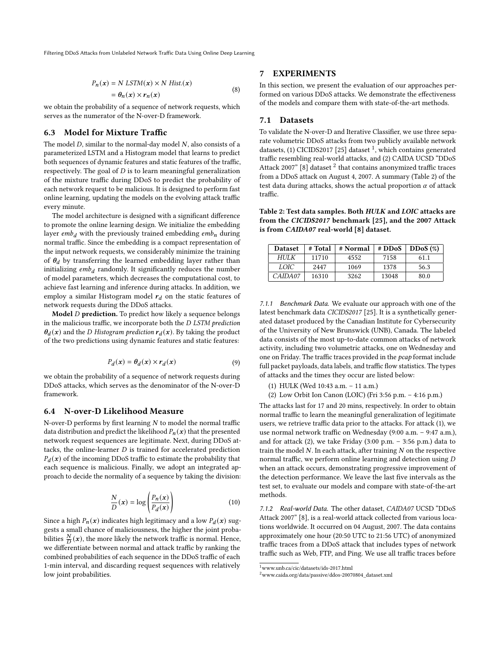$$
P_n(x) = N \text{ LSTM}(x) \times N \text{ Hist.}(x)
$$
  
=  $\theta_n(x) \times r_n(x)$  (8)

we obtain the probability of a sequence of network requests, which serves as the numerator of the N-over-D framework.

## <span id="page-6-1"></span>6.3 Model for Mixture Traffic

The model  $D$ , similar to the normal-day model  $N$ , also consists of a parameterized LSTM and a Histogram model that learns to predict both sequences of dynamic features and static features of the traffic, respectively. The goal of  $D$  is to learn meaningful generalization of the mixture traffic during DDoS to predict the probability of each network request to be malicious. It is designed to perform fast online learning, updating the models on the evolving attack traffic every minute.

The model architecture is designed with a significant difference to promote the online learning design. We initialize the embedding layer  $emb<sub>d</sub>$  with the previously trained embedding  $emb<sub>n</sub>$  during normal traffic. Since the embedding is a compact representation of the input network requests, we considerably minimize the training of  $\theta_d$  by transferring the learned embedding layer rather than initializing  $emb<sub>d</sub>$  randomly. It significantly reduces the number of model parameters, which decreases the computational cost, to achieve fast learning and inference during attacks. In addition, we employ a similar Histogram model  $r_d$  on the static features of network requests during the DDoS attacks.

**Model**  $D$  prediction. To predict how likely a sequence belongs in the malicious traffic, we incorporate both the D LSTM prediction  $\theta_d(x)$  and the *D Histogram prediction*  $r_d(x)$ . By taking the product of the two predictions using dynamic features and static features:

$$
P_d(x) = \theta_d(x) \times r_d(x) \tag{9}
$$

we obtain the probability of a sequence of network requests during DDoS attacks, which serves as the denominator of the N-over-D framework.

#### 6.4 N-over-D Likelihood Measure

N-over-D performs by first learning  $N$  to model the normal traffic data distribution and predict the likelihood  $P_n(x)$  that the presented network request sequences are legitimate. Next, during DDoS attacks, the online-learner  $D$  is trained for accelerated prediction  $P_d(x)$  of the incoming DDoS traffic to estimate the probability that each sequence is malicious. Finally, we adopt an integrated approach to decide the normality of a sequence by taking the division:

$$
\frac{N}{D}(\mathbf{x}) = \log \left( \frac{P_n(\mathbf{x})}{P_d(\mathbf{x})} \right) \tag{10}
$$

Since a high  $P_n(x)$  indicates high legitimacy and a low  $P_d(x)$  suggests a small chance of maliciousness, the higher the joint probabilities  $\frac{N}{D}(x)$ , the more likely the network traffic is normal. Hence, we differentiate between normal and attack traffic by ranking the combined probabilities of each sequence in the DDoS traffic of each 1-min interval, and discarding request sequences with relatively low joint probabilities.

## <span id="page-6-0"></span>7 EXPERIMENTS

In this section, we present the evaluation of our approaches performed on various DDoS attacks. We demonstrate the effectiveness of the models and compare them with state-of-the-art methods.

## 7.1 Datasets

To validate the N-over-D and Iterative Classifier, we use three separate volumetric DDoS attacks from two publicly available network datasets, (1) CICIDS2017 [\[25\]](#page-11-26) dataset <sup>[1](#page-6-2)</sup>, which contains generated traffic resembling real-world attacks, and (2) CAIDA UCSD "DDoS Attack 2007" [\[8\]](#page-11-27) dataset  $^2$  $^2$  that contains anonymized traffic traces from a DDoS attack on August 4, 2007. A summary (Table [2\)](#page-6-4) of the test data during attacks, shows the actual proportion  $\alpha$  of attack traffic.

<span id="page-6-4"></span>Table 2: Test data samples. Both HULK and LOIC attacks are from the CICIDS2017 benchmark [\[25\]](#page-11-26), and the 2007 Attack is from CAIDA07 real-world [\[8\]](#page-11-27) dataset.

| <b>Dataset</b> | # Total | # Normal | # DDoS | DDoS (%) |
|----------------|---------|----------|--------|----------|
| H I J L K      | 11710   | 4552     | 7158   | 61.1     |
| LOIC.          | 2447    | 1069     | 1378   | 56.3     |
| CAIDAO7        | 16310   | 3262     | 13048  | 80.0     |

7.1.1 Benchmark Data. We evaluate our approach with one of the latest benchmark data CICIDS2017 [\[25\]](#page-11-26). It is a synthetically generated dataset produced by the Canadian Institute for Cybersecurity of the University of New Brunswick (UNB), Canada. The labeled data consists of the most up-to-date common attacks of network activity, including two volumetric attacks, one on Wednesday and one on Friday. The traffic traces provided in the pcap format include full packet payloads, data labels, and traffic flow statistics. The types of attacks and the times they occur are listed below:

- (1) HULK (Wed 10:43 a.m. 11 a.m.)
- (2) Low Orbit Ion Canon (LOIC) (Fri 3:56 p.m. 4:16 p.m.)

The attacks last for 17 and 20 mins, respectively. In order to obtain normal traffic to learn the meaningful generalization of legitimate users, we retrieve traffic data prior to the attacks. For attack (1), we use normal network traffic on Wednesday (9:00 a.m. – 9:47 a.m.), and for attack  $(2)$ , we take Friday  $(3:00 \text{ p.m.} - 3:56 \text{ p.m.})$  data to train the model  $N$ . In each attack, after training  $N$  on the respective normal traffic, we perform online learning and detection using when an attack occurs, demonstrating progressive improvement of the detection performance. We leave the last five intervals as the test set, to evaluate our models and compare with state-of-the-art methods.

7.1.2 Real-world Data. The other dataset, CAIDA07 UCSD "DDoS Attack 2007" [\[8\]](#page-11-27), is a real-world attack collected from various locations worldwide. It occurred on 04 August, 2007. The data contains approximately one hour (20:50 UTC to 21:56 UTC) of anonymized traffic traces from a DDoS attack that includes types of network traffic such as Web, FTP, and Ping. We use all traffic traces before

<span id="page-6-2"></span> $^{\rm 1}$ www.unb.ca/cic/datasets/ids-2017.html

<span id="page-6-3"></span><sup>2</sup>www.caida.org/data/passive/ddos-20070804\_dataset.xml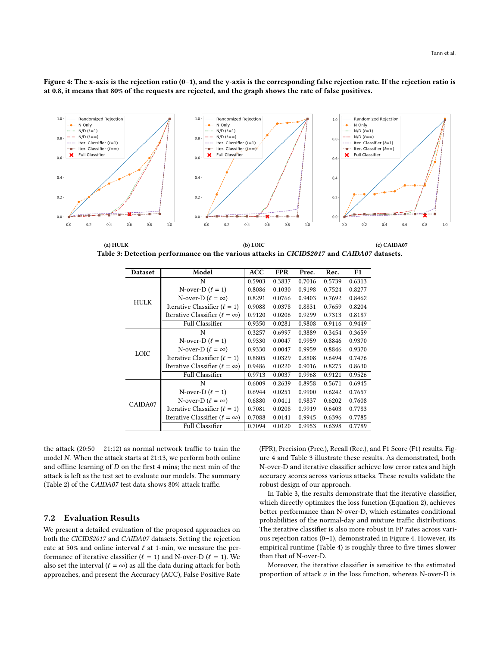<span id="page-7-1"></span>Figure 4: The x-axis is the rejection ratio (0–1), and the y-axis is the corresponding false rejection rate. If the rejection ratio is at 0.8, it means that 80% of the requests are rejected, and the graph shows the rate of false positives.



(a) HULK (b) LOIC (c) CAIDA07 Table 3: Detection performance on the various attacks in CICIDS2017 and CAIDA07 datasets.

<span id="page-7-0"></span>

| <b>Dataset</b> | Model                                    | ACC    | <b>FPR</b> | Prec.  | Rec.   | F1     |
|----------------|------------------------------------------|--------|------------|--------|--------|--------|
|                | N                                        | 0.5903 | 0.3837     | 0.7016 | 0.5739 | 0.6313 |
|                | N-over-D $(\ell = 1)$                    | 0.8086 | 0.1030     | 0.9198 | 0.7524 | 0.8277 |
| <b>HULK</b>    | N-over-D $(\ell = \infty)$               | 0.8291 | 0.0766     | 0.9403 | 0.7692 | 0.8462 |
|                | Iterative Classifier $(\ell = 1)$        | 0.9088 | 0.0378     | 0.8831 | 0.7659 | 0.8204 |
|                | Iterative Classifier ( $\ell = \infty$ ) | 0.9120 | 0.0206     | 0.9299 | 0.7313 | 0.8187 |
|                | <b>Full Classifier</b>                   | 0.9350 | 0.0281     | 0.9808 | 0.9116 | 0.9449 |
|                | N                                        | 0.3257 | 0.6997     | 0.3889 | 0.3454 | 0.3659 |
|                | N-over-D $(\ell = 1)$                    | 0.9330 | 0.0047     | 0.9959 | 0.8846 | 0.9370 |
| <b>LOIC</b>    | N-over-D $(\ell = \infty)$               | 0.9330 | 0.0047     | 0.9959 | 0.8846 | 0.9370 |
|                | Iterative Classifier $(\ell = 1)$        | 0.8805 | 0.0329     | 0.8808 | 0.6494 | 0.7476 |
|                | Iterative Classifier ( $\ell = \infty$ ) | 0.9486 | 0.0220     | 0.9016 | 0.8275 | 0.8630 |
|                | <b>Full Classifier</b>                   | 0.9713 | 0.0037     | 0.9968 | 0.9121 | 0.9526 |
|                | N                                        | 0.6009 | 0.2639     | 0.8958 | 0.5671 | 0.6945 |
|                | N-over-D $(\ell = 1)$                    | 0.6944 | 0.0251     | 0.9900 | 0.6242 | 0.7657 |
| CAIDA07        | N-over-D $(\ell = \infty)$               | 0.6880 | 0.0411     | 0.9837 | 0.6202 | 0.7608 |
|                | Iterative Classifier $(\ell = 1)$        | 0.7081 | 0.0208     | 0.9919 | 0.6403 | 0.7783 |
|                | Iterative Classifier ( $\ell = \infty$ ) | 0.7088 | 0.0141     | 0.9945 | 0.6396 | 0.7785 |
|                | <b>Full Classifier</b>                   | 0.7094 | 0.0120     | 0.9953 | 0.6398 | 0.7789 |

the attack  $(20:50 - 21:12)$  as normal network traffic to train the model  $N$ . When the attack starts at 21:13, we perform both online and offline learning of  $D$  on the first 4 mins; the next min of the attack is left as the test set to evaluate our models. The summary (Table [2\)](#page-6-4) of the CAIDA07 test data shows 80% attack traffic.

## 7.2 Evaluation Results

We present a detailed evaluation of the proposed approaches on both the CICIDS2017 and CAIDA07 datasets. Setting the rejection rate at 50% and online interval  $\ell$  at 1-min, we measure the performance of iterative classifier ( $\ell = 1$ ) and N-over-D ( $\ell = 1$ ). We also set the interval ( $\ell = \infty$ ) as all the data during attack for both approaches, and present the Accuracy (ACC), False Positive Rate

(FPR), Precision (Prec.), Recall (Rec.), and F1 Score (F1) results. Figure [4](#page-7-0) and Table [3](#page-7-1) illustrate these results. As demonstrated, both N-over-D and iterative classifier achieve low error rates and high accuracy scores across various attacks. These results validate the robust design of our approach.

In Table [3,](#page-7-1) the results demonstrate that the iterative classifier, which directly optimizes the loss function (Equation [2\)](#page-3-2), achieves better performance than N-over-D, which estimates conditional probabilities of the normal-day and mixture traffic distributions. The iterative classifier is also more robust in FP rates across various rejection ratios (0–1), demonstrated in Figure [4.](#page-7-0) However, its empirical runtime (Table [4\)](#page-8-0) is roughly three to five times slower than that of N-over-D.

Moreover, the iterative classifier is sensitive to the estimated proportion of attack  $\alpha$  in the loss function, whereas N-over-D is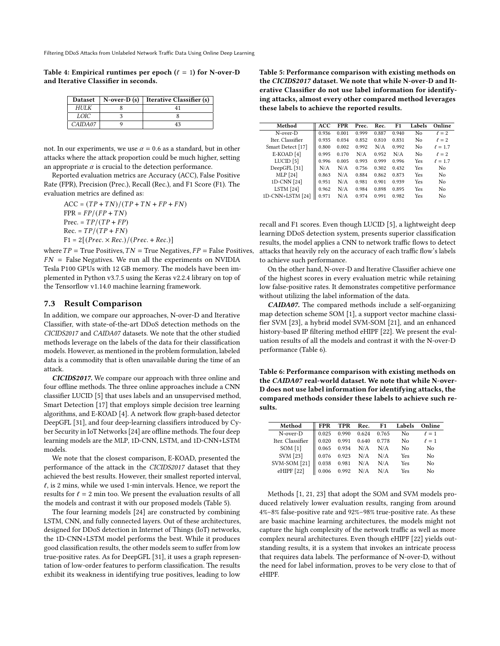<span id="page-8-0"></span>Table 4: Empirical runtimes per epoch  $(\ell = 1)$  for N-over-D and Iterative Classifier in seconds.

| <b>Dataset</b> | $N$ -over-D $(s)$ | <b>Iterative Classifier (s)</b> |
|----------------|-------------------|---------------------------------|
| НИЈК           |                   |                                 |
| LOIC-          |                   |                                 |
| CAIDAO7        |                   | 43                              |

not. In our experiments, we use  $\alpha = 0.6$  as a standard, but in other attacks where the attack proportion could be much higher, setting an appropriate  $\alpha$  is crucial to the detection performance.

Reported evaluation metrics are Accuracy (ACC), False Positive Rate (FPR), Precision (Prec.), Recall (Rec.), and F1 Score (F1). The evaluation metrics are defined as:

 $ACC = (TP + TN)/(TP + TN + FP + FN)$  $FPR = FP/(FP + TN)$  $Prec = TP/(TP + FP)$  $Rec. = TP/(TP + FN)$  $F1 = 2[(Prec. \times Rec.)/(Prec. + Rec.)]$ 

where  $TP = True$  Positives,  $TN = True$  Negatives,  $FP = False$  Positives,  $FN$  = False Negatives. We run all the experiments on NVIDIA Tesla P100 GPUs with 12 GB memory. The models have been implemented in Python v3.7.5 using the Keras v2.2.4 library on top of the Tensorflow v1.14.0 machine learning framework.

#### 7.3 Result Comparison

In addition, we compare our approaches, N-over-D and Iterative Classifier, with state-of-the-art DDoS detection methods on the CICIDS2017 and CAIDA07 datasets. We note that the other studied methods leverage on the labels of the data for their classification models. However, as mentioned in the problem formulation, labeled data is a commodity that is often unavailable during the time of an attack.

CICIDS2017. We compare our approach with three online and four offline methods. The three online approaches include a CNN classifier LUCID [\[5\]](#page-11-21) that uses labels and an unsupervised method, Smart Detection [\[17\]](#page-11-19) that employs simple decision tree learning algorithms, and E-KOAD [\[4\]](#page-11-17). A network flow graph-based detector DeepGFL [\[31\]](#page-11-28), and four deep-learning classifiers introduced by Cyber Security in IoT Networks [\[24\]](#page-11-14) are offline methods. The four deep learning models are the MLP, 1D-CNN, LSTM, and 1D-CNN+LSTM models.

We note that the closest comparison, E-KOAD, presented the performance of the attack in the CICIDS2017 dataset that they achieved the best results. However, their smallest reported interval,  $\ell$ , is 2 mins, while we used 1-min intervals. Hence, we report the results for  $\ell = 2$  min too. We present the evaluation results of all the models and contrast it with our proposed models (Table [5\)](#page-8-1).

The four learning models [\[24\]](#page-11-14) are constructed by combining LSTM, CNN, and fully connected layers. Out of these architectures, designed for DDoS detection in Internet of Things (IoT) networks, the 1D-CNN+LSTM model performs the best. While it produces good classification results, the other models seem to suffer from low true-positive rates. As for DeepGFL [\[31\]](#page-11-28), it uses a graph representation of low-order features to perform classification. The results exhibit its weakness in identifying true positives, leading to low

<span id="page-8-1"></span>Table 5: Performance comparison with existing methods on the CICIDS2017 dataset. We note that while N-over-D and Iterative Classifier do not use label information for identifying attacks, almost every other compared method leverages these labels to achieve the reported results.

| Method               | ACC   | FPR   | Prec. | Rec.  | F1    | Labels     | Online       |
|----------------------|-------|-------|-------|-------|-------|------------|--------------|
| $N$ -over-D          | 0.936 | 0.001 | 0.999 | 0.887 | 0.940 | No         | $\ell = 2$   |
| Iter. Classifier     | 0.935 | 0.034 | 0.852 | 0.810 | 0.831 | No         | $\ell = 2$   |
| Smart Detect [17]    | 0.800 | 0.002 | 0.992 | N/A   | 0.992 | No         | $\ell = 1.7$ |
| $E-KOAD[4]$          | 0.995 | 0.170 | N/A   | 0.952 | N/A   | No         | $\ell = 2$   |
| LUCID <sup>[5]</sup> | 0.996 | 0.005 | 0.993 | 0.999 | 0.996 | <b>Yes</b> | $\ell = 1.7$ |
| DeepGFL [31]         | N/A   | N/A   | 0.756 | 0.302 | 0.432 | Yes        | No           |
| MLP [24]             | 0.863 | N/A   | 0.884 | 0.862 | 0.873 | <b>Yes</b> | No           |
| 1D-CNN [24]          | 0.951 | N/A   | 0.981 | 0.901 | 0.939 | <b>Yes</b> | No           |
| <b>LSTM</b> [24]     | 0.962 | N/A   | 0.984 | 0.898 | 0.895 | Yes        | No           |
| 1D-CNN+LSTM [24]     | 0.971 | N/A   | 0.974 | 0.991 | 0.982 | Yes        | No           |

recall and F1 scores. Even though LUCID [\[5\]](#page-11-21), a lightweight deep learning DDoS detection system, presents superior classification results, the model applies a CNN to network traffic flows to detect attacks that heavily rely on the accuracy of each traffic flow's labels to achieve such performance.

On the other hand, N-over-D and Iterative Classifier achieve one of the highest scores in every evaluation metric while retaining low false-positive rates. It demonstrates competitive performance without utilizing the label information of the data.

CAIDA07. The compared methods include a self-organizing map detection scheme SOM [\[1\]](#page-11-29), a support vector machine classifier SVM [\[23\]](#page-11-30), a hybrid model SVM-SOM [\[21\]](#page-11-31), and an enhanced history-based IP filtering method eHIPF [\[22\]](#page-11-32). We present the evaluation results of all the models and contrast it with the N-over-D performance (Table [6\)](#page-8-2).

<span id="page-8-2"></span>Table 6: Performance comparison with existing methods on the CAIDA07 real-world dataset. We note that while N-over-D does not use label information for identifying attacks, the compared methods consider these labels to achieve such results.

| <b>FPR</b>        |       |       |                                                   | Online                                                                            |
|-------------------|-------|-------|---------------------------------------------------|-----------------------------------------------------------------------------------|
|                   | 0.990 |       | No                                                | $\ell = 1$                                                                        |
| $\parallel$ 0.020 |       |       | No                                                | $\ell = 1$                                                                        |
| $\parallel$ 0.065 |       |       | N <sub>0</sub>                                    | N <sub>0</sub>                                                                    |
| 0.076             |       |       | Yes                                               | No                                                                                |
| $\parallel$ 0.038 | 0.981 |       | Yes                                               | No                                                                                |
| 0.006             |       |       | Yes                                               | N <sub>0</sub>                                                                    |
|                   |       | 0.025 | $0.934$ N/A N/A<br>$0.923$ N/A N/A<br>$N/A$ $N/A$ | TPR Rec. F1 Labels<br>0.624 0.765<br>$0.991$ $0.640$ $0.778$<br>0.992 $N/A$ $N/A$ |

Methods [\[1,](#page-11-29) [21,](#page-11-31) [23\]](#page-11-30) that adopt the SOM and SVM models produced relatively lower evaluation results, ranging from around 4%–8% false-positive rate and 92%–98% true-positive rate. As these are basic machine learning architectures, the models might not capture the high complexity of the network traffic as well as more complex neural architectures. Even though eHIPF [\[22\]](#page-11-32) yields outstanding results, it is a system that invokes an intricate process that requires data labels. The performance of N-over-D, without the need for label information, proves to be very close to that of eHIPF.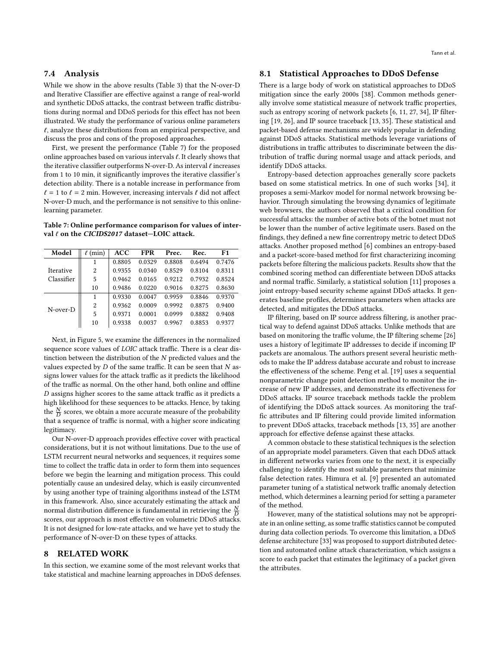## 7.4 Analysis

While we show in the above results (Table [3\)](#page-7-1) that the N-over-D and Iterative Classifier are effective against a range of real-world and synthetic DDoS attacks, the contrast between traffic distributions during normal and DDoS periods for this effect has not been illustrated. We study the performance of various online parameters  $\ell$ , analyze these distributions from an empirical perspective, and discuss the pros and cons of the proposed approaches.

First, we present the performance (Table [7\)](#page-9-1) for the proposed online approaches based on various intervals  $\ell$ . It clearly shows that the iterative classifier outperforms N-over-D. As interval  $\ell$  increases from 1 to 10 min, it significantly improves the iterative classifier's detection ability. There is a notable increase in performance from  $\ell = 1$  to  $\ell = 2$  min. However, increasing intervals  $\ell$  did not affect N-over-D much, and the performance is not sensitive to this onlinelearning parameter.

<span id="page-9-1"></span>Table 7: Online performance comparison for values of interval  $\ell$  on the CICIDS2017 dataset-LOIC attack.

| Model            | (min) | ACC    | <b>FPR</b> | Prec.  | Rec.   | F1     |
|------------------|-------|--------|------------|--------|--------|--------|
|                  |       | 0.8805 | 0.0329     | 0.8808 | 0.6494 | 0.7476 |
| <b>Iterative</b> | 2     | 0.9355 | 0.0340     | 0.8529 | 0.8104 | 0.8311 |
| Classifier       | 5     | 0.9462 | 0.0165     | 0.9212 | 0.7932 | 0.8524 |
|                  | 10    | 0.9486 | 0.0220     | 0.9016 | 0.8275 | 0.8630 |
|                  | 1     | 0.9330 | 0.0047     | 0.9959 | 0.8846 | 0.9370 |
| $N$ -over- $D$   | 2     | 0.9362 | 0.0009     | 0.9992 | 0.8875 | 0.9400 |
|                  | 5     | 0.9371 | 0.0001     | 0.0999 | 0.8882 | 0.9408 |
|                  | 10    | 0.9338 | 0.0037     | 0.9967 | 0.8853 | 0.9377 |

Next, in Figure [5,](#page-10-2) we examine the differences in the normalized sequence score values of LOIC attack traffic. There is a clear distinction between the distribution of the  $N$  predicted values and the values expected by  $D$  of the same traffic. It can be seen that  $N$  assigns lower values for the attack traffic as it predicts the likelihood of the traffic as normal. On the other hand, both online and offline  $D$  assigns higher scores to the same attack traffic as it predicts a high likelihood for these sequences to be attacks. Hence, by taking the  $\frac{N}{D}$  scores, we obtain a more accurate measure of the probability that a sequence of traffic is normal, with a higher score indicating legitimacy.

Our N-over-D approach provides effective cover with practical considerations, but it is not without limitations. Due to the use of LSTM recurrent neural networks and sequences, it requires some time to collect the traffic data in order to form them into sequences before we begin the learning and mitigation process. This could potentially cause an undesired delay, which is easily circumvented by using another type of training algorithms instead of the LSTM in this framework. Also, since accurately estimating the attack and normal distribution difference is fundamental in retrieving the  $\frac{N}{D}$ scores, our approach is most effective on volumetric DDoS attacks. It is not designed for low-rate attacks, and we have yet to study the performance of N-over-D on these types of attacks.

## <span id="page-9-0"></span>8 RELATED WORK

In this section, we examine some of the most relevant works that take statistical and machine learning approaches in DDoS defenses.

## 8.1 Statistical Approaches to DDoS Defense

There is a large body of work on statistical approaches to DDoS mitigation since the early 2000s [\[38\]](#page-11-33). Common methods generally involve some statistical measure of network traffic properties, such as entropy scoring of network packets [\[6,](#page-11-4) [11,](#page-11-5) [27,](#page-11-6) [34\]](#page-11-7), IP filtering [\[19,](#page-11-8) [26\]](#page-11-9), and IP source traceback [\[13,](#page-11-10) [35\]](#page-11-11). These statistical and packet-based defense mechanisms are widely popular in defending against DDoS attacks. Statistical methods leverage variations of distributions in traffic attributes to discriminate between the distribution of traffic during normal usage and attack periods, and identify DDoS attacks.

Entropy-based detection approaches generally score packets based on some statistical metrics. In one of such works [\[34\]](#page-11-7), it proposes a semi-Markov model for normal network browsing behavior. Through simulating the browsing dynamics of legitimate web browsers, the authors observed that a critical condition for successful attacks: the number of active bots of the botnet must not be lower than the number of active legitimate users. Based on the findings, they defined a new fine correntropy metric to detect DDoS attacks. Another proposed method [\[6\]](#page-11-4) combines an entropy-based and a packet-score-based method for first characterizing incoming packets before filtering the malicious packets. Results show that the combined scoring method can differentiate between DDoS attacks and normal traffic. Similarly, a statistical solution [\[11\]](#page-11-5) proposes a joint entropy-based security scheme against DDoS attacks. It generates baseline profiles, determines parameters when attacks are detected, and mitigates the DDoS attacks.

IP filtering, based on IP source address filtering, is another practical way to defend against DDoS attacks. Unlike methods that are based on monitoring the traffic volume, the IP filtering scheme [\[26\]](#page-11-9) uses a history of legitimate IP addresses to decide if incoming IP packets are anomalous. The authors present several heuristic methods to make the IP address database accurate and robust to increase the effectiveness of the scheme. Peng et al. [\[19\]](#page-11-8) uses a sequential nonparametric change point detection method to monitor the increase of new IP addresses, and demonstrate its effectiveness for DDoS attacks. IP source traceback methods tackle the problem of identifying the DDoS attack sources. As monitoring the traffic attributes and IP filtering could provide limited information to prevent DDoS attacks, traceback methods [\[13,](#page-11-10) [35\]](#page-11-11) are another approach for effective defense against these attacks.

A common obstacle to these statistical techniques is the selection of an appropriate model parameters. Given that each DDoS attack in different networks varies from one to the next, it is especially challenging to identify the most suitable parameters that minimize false detection rates. Himura et al. [\[9\]](#page-11-34) presented an automated parameter tuning of a statistical network traffic anomaly detection method, which determines a learning period for setting a parameter of the method.

However, many of the statistical solutions may not be appropriate in an online setting, as some traffic statistics cannot be computed during data collection periods. To overcome this limitation, a DDoS defense architecture [\[33\]](#page-11-20) was proposed to support distributed detection and automated online attack characterization, which assigns a score to each packet that estimates the legitimacy of a packet given the attributes.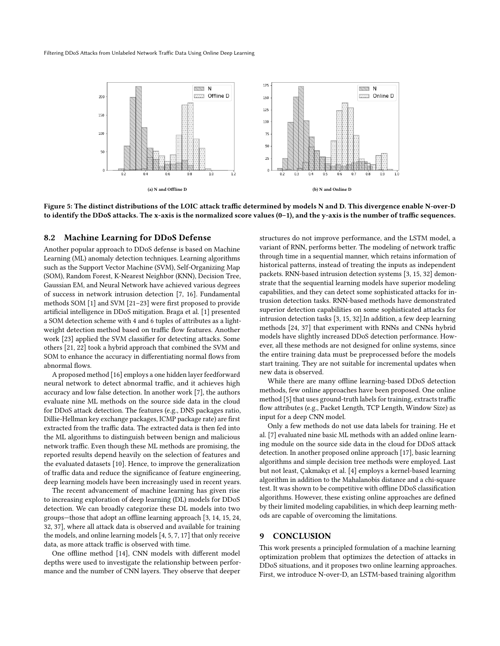<span id="page-10-2"></span>

Figure 5: The distinct distributions of the LOIC attack traffic determined by models N and D. This divergence enable N-over-D to identify the DDoS attacks. The x-axis is the normalized score values (0–1), and the y-axis is the number of traffic sequences.

## <span id="page-10-1"></span>8.2 Machine Learning for DDoS Defense

Another popular approach to DDoS defense is based on Machine Learning (ML) anomaly detection techniques. Learning algorithms such as the Support Vector Machine (SVM), Self-Organizing Map (SOM), Random Forest, K-Nearest Neighbor (KNN), Decision Tree, Gaussian EM, and Neural Network have achieved various degrees of success in network intrusion detection [\[7,](#page-11-18) [16\]](#page-11-35). Fundamental methods SOM [\[1\]](#page-11-29) and SVM [\[21](#page-11-31)[–23\]](#page-11-30) were first proposed to provide artificial intelligence in DDoS mitigation. Braga et al. [\[1\]](#page-11-29) presented a SOM detection scheme with 4 and 6 tuples of attributes as a lightweight detection method based on traffic flow features. Another work [\[23\]](#page-11-30) applied the SVM classifier for detecting attacks. Some others [\[21,](#page-11-31) [22\]](#page-11-32) took a hybrid approach that combined the SVM and SOM to enhance the accuracy in differentiating normal flows from abnormal flows.

A proposed method [\[16\]](#page-11-35) employs a one hidden layer feedforward neural network to detect abnormal traffic, and it achieves high accuracy and low false detection. In another work [\[7\]](#page-11-18), the authors evaluate nine ML methods on the source side data in the cloud for DDoS attack detection. The features (e.g., DNS packages ratio, Dillie-Hellman key exchange packages, ICMP package rate) are first extracted from the traffic data. The extracted data is then fed into the ML algorithms to distinguish between benign and malicious network traffic. Even though these ML methods are promising, the reported results depend heavily on the selection of features and the evaluated datasets [\[10\]](#page-11-36). Hence, to improve the generalization of traffic data and reduce the significance of feature engineering, deep learning models have been increasingly used in recent years.

The recent advancement of machine learning has given rise to increasing exploration of deep learning (DL) models for DDoS detection. We can broadly categorize these DL models into two groups—those that adopt an offline learning approach [\[3,](#page-11-37) [14,](#page-11-12) [15,](#page-11-13) [24,](#page-11-14) [32,](#page-11-15) [37\]](#page-11-16), where all attack data is observed and available for training the models, and online learning models [\[4,](#page-11-17) [5,](#page-11-21) [7,](#page-11-18) [17\]](#page-11-19) that only receive data, as more attack traffic is observed with time.

One offline method [\[14\]](#page-11-12), CNN models with different model depths were used to investigate the relationship between performance and the number of CNN layers. They observe that deeper

structures do not improve performance, and the LSTM model, a variant of RNN, performs better. The modeling of network traffic through time in a sequential manner, which retains information of historical patterns, instead of treating the inputs as independent packets. RNN-based intrusion detection systems [\[3,](#page-11-37) [15,](#page-11-13) [32\]](#page-11-15) demonstrate that the sequential learning models have superior modeling capabilities, and they can detect some sophisticated attacks for intrusion detection tasks. RNN-based methods have demonstrated superior detection capabilities on some sophisticated attacks for intrusion detection tasks [\[3,](#page-11-37) [15,](#page-11-13) [32\]](#page-11-15).In addition, a few deep learning methods [\[24,](#page-11-14) [37\]](#page-11-16) that experiment with RNNs and CNNs hybrid models have slightly increased DDoS detection performance. However, all these methods are not designed for online systems, since the entire training data must be preprocessed before the models start training. They are not suitable for incremental updates when new data is observed.

While there are many offline learning-based DDoS detection methods, few online approaches have been proposed. One online method [\[5\]](#page-11-21) that uses ground-truth labels for training, extracts traffic flow attributes (e.g., Packet Length, TCP Length, Window Size) as input for a deep CNN model.

Only a few methods do not use data labels for training. He et al. [\[7\]](#page-11-18) evaluated nine basic ML methods with an added online learning module on the source side data in the cloud for DDoS attack detection. In another proposed online approach [\[17\]](#page-11-19), basic learning algorithms and simple decision tree methods were employed. Last but not least, Çakmakçı et al. [\[4\]](#page-11-17) employs a kernel-based learning algorithm in addition to the Mahalanobis distance and a chi-square test. It was shown to be competitive with offline DDoS classification algorithms. However, these existing online approaches are defined by their limited modeling capabilities, in which deep learning methods are capable of overcoming the limitations.

## <span id="page-10-0"></span>9 CONCLUSION

This work presents a principled formulation of a machine learning optimization problem that optimizes the detection of attacks in DDoS situations, and it proposes two online learning approaches. First, we introduce N-over-D, an LSTM-based training algorithm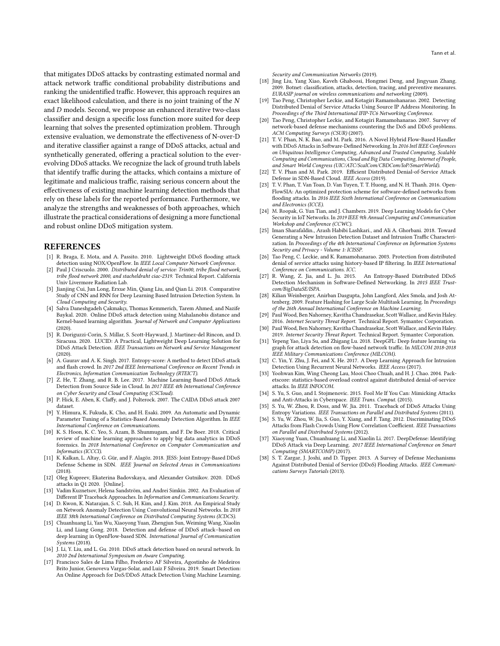that mitigates DDoS attacks by contrasting estimated normal and attack network traffic conditional probability distributions and ranking the unidentified traffic. However, this approach requires an exact likelihood calculation, and there is no joint training of the  $N$ and  $D$  models. Second, we propose an enhanced iterative two-class classifier and design a specific loss function more suited for deep learning that solves the presented optimization problem. Through extensive evaluation, we demonstrate the effectiveness of N-over-D and iterative classifier against a range of DDoS attacks, actual and synthetically generated, offering a practical solution to the everevolving DDoS attacks. We recognize the lack of ground truth labels that identify traffic during the attacks, which contains a mixture of legitimate and malicious traffic, raising serious concern about the effectiveness of existing machine learning detection methods that rely on these labels for the reported performance. Furthermore, we analyze the strengths and weaknesses of both approaches, which illustrate the practical considerations of designing a more functional and robust online DDoS mitigation system.

#### REFERENCES

- <span id="page-11-29"></span>[1] R. Braga, E. Mota, and A. Passito. 2010. Lightweight DDoS flooding attack detection using NOX/OpenFlow. In IEEE Local Computer Network Conference.
- <span id="page-11-0"></span>[2] Paul J Criscuolo. 2000. Distributed denial of service: Trin00, tribe flood network, tribe flood network 2000, and stacheldraht ciac-2319. Technical Report. California Univ Livermore Radiation Lab.
- <span id="page-11-37"></span>[3] Jianjing Cui, Jun Long, Erxue Min, Qiang Liu, and Qian Li. 2018. Comparative Study of CNN and RNN for Deep Learning Based Intrusion Detection System. In
- <span id="page-11-17"></span>Cloud Computing and Security. [4] Salva Daneshgadeh Çakmakçı, Thomas Kemmerich, Tarem Ahmed, and Nazife Baykal. 2020. Online DDoS attack detection using Mahalanobis distance and Kernel-based learning algorithm. Journal of Network and Computer Applications (2020).
- <span id="page-11-21"></span>[5] R. Doriguzzi-Corin, S. Millar, S. Scott-Hayward, J. Martinez-del Rincon, and D. Siracusa. 2020. LUCID: A Practical, Lightweight Deep Learning Solution for DDoS Attack Detection. IEEE Transactions on Network and Service Management (2020).
- <span id="page-11-4"></span>[6] A. Gaurav and A. K. Singh. 2017. Entropy-score: A method to detect DDoS attack and flash crowd. In 2017 2nd IEEE International Conference on Recent Trends in Electronics, Information Communication Technology (RTEICT).
- <span id="page-11-18"></span>[7] Z. He, T. Zhang, and R. B. Lee. 2017. Machine Learning Based DDoS Attack Detection from Source Side in Cloud. In 2017 IEEE 4th International Conference on Cyber Security and Cloud Computing (CSCloud).
- <span id="page-11-27"></span>[8] P. Hick, E. Aben, K. Claffy, and J. Polterock. 2007. The CAIDA DDoS attack 2007 dataset.
- <span id="page-11-34"></span>[9] Y. Himura, K. Fukuda, K. Cho, and H. Esaki. 2009. An Automatic and Dynamic Parameter Tuning of a Statistics-Based Anomaly Detection Algorithm. In IEEE International Conference on Communications.
- <span id="page-11-36"></span>[10] K. S. Hoon, K. C. Yeo, S. Azam, B. Shunmugam, and F. De Boer. 2018. Critical review of machine learning approaches to apply big data analytics in DDoS forensics. In 2018 International Conference on Computer Communication and Informatics (ICCCI).
- <span id="page-11-5"></span>[11] K. Kalkan, L. Altay, G. Gür, and F. Alagöz. 2018. JESS: Joint Entropy-Based DDoS Defense Scheme in SDN. IEEE Journal on Selected Areas in Communications (2018).
- <span id="page-11-23"></span>[12] Oleg Kupreev, Ekaterina Badovskaya, and Alexander Gutnikov. 2020. DDoS attacks in Q1 2020. [Online].
- <span id="page-11-10"></span>[13] Vadim Kuznetsov, Helena Sandström, and Andrei Simkin. 2002. An Evaluation of Different IP Traceback Approaches. In Information and Communications Security.
- <span id="page-11-12"></span>[14] D. Kwon, K. Natarajan, S. C. Suh, H. Kim, and J. Kim. 2018. An Empirical Study on Network Anomaly Detection Using Convolutional Neural Networks. In 2018 IEEE 38th International Conference on Distributed Computing Systems (ICDCS).
- <span id="page-11-13"></span>[15] Chuanhuang Li, Yan Wu, Xiaoyong Yuan, Zhengjun Sun, Weiming Wang, Xiaolin Li, and Liang Gong. 2018. Detection and defense of DDoS attack–based on deep learning in OpenFlow-based SDN. International Journal of Communication Systems (2018).
- <span id="page-11-35"></span>[16] J. Li, Y. Liu, and L. Gu. 2010. DDoS attack detection based on neural network. In 2010 2nd International Symposium on Aware Computing.
- <span id="page-11-19"></span>[17] Francisco Sales de Lima Filho, Frederico AF Silveira, Agostinho de Medeiros Brito Junior, Genoveva Vargas-Solar, and Luiz F Silveira. 2019. Smart Detection: An Online Approach for DoS/DDoS Attack Detection Using Machine Learning.

Security and Communication Networks (2019).

- <span id="page-11-2"></span>[18] Jing Liu, Yang Xiao, Kaveh Ghaboosi, Hongmei Deng, and Jingyuan Zhang. 2009. Botnet: classification, attacks, detection, tracing, and preventive measures. EURASIP journal on wireless communications and networking (2009).
- <span id="page-11-8"></span>[19] Tao Peng, Christopher Leckie, and Kotagiri Ramamohanarao. 2002. Detecting Distributed Denial of Service Attacks Using Source IP Address Monitoring. In Proceedings of the Third International IFIP-TC6 Networking Conference.
- <span id="page-11-3"></span>[20] Tao Peng, Christopher Leckie, and Kotagiri Ramamohanarao. 2007. Survey of network-based defense mechanisms countering the DoS and DDoS problems. ACM Computing Surveys (CSUR) (2007).
- <span id="page-11-31"></span>[21] T. V. Phan, N. K. Bao, and M. Park. 2016. A Novel Hybrid Flow-Based Handler with DDoS Attacks in Software-Defined Networking. In 2016 Intl IEEE Conferences on Ubiquitous Intelligence Computing, Advanced and Trusted Computing, Scalable Computing and Communications, Cloud and Big Data Computing, Internet of People, and Smart World Congress (UIC/ATC/ScalCom/CBDCom/IoP/SmartWorld).
- <span id="page-11-32"></span>[22] T. V. Phan and M. Park. 2019. Efficient Distributed Denial-of-Service Attack Defense in SDN-Based Cloud. IEEE Access (2019).
- <span id="page-11-30"></span>[23] T. V. Phan, T. Van Toan, D. Van Tuyen, T. T. Huong, and N. H. Thanh. 2016. Open-FlowSIA: An optimized protection scheme for software-defined networks from flooding attacks. In 2016 IEEE Sixth International Conference on Communications and Electronics (ICCE).
- <span id="page-11-14"></span>[24] M. Roopak, G. Yun Tian, and J. Chambers. 2019. Deep Learning Models for Cyber Security in IoT Networks. In 2019 IEEE 9th Annual Computing and Communication Workshop and Conference (CCWC).
- <span id="page-11-26"></span>[25] Iman Sharafaldin., Arash Habibi Lashkari., and Ali A. Ghorbani. 2018. Toward Generating a New Intrusion Detection Dataset and Intrusion Traffic Characterization. In Proceedings of the 4th International Conference on Information Systems Security and Privacy - Volume 1: ICISSP.
- <span id="page-11-9"></span>[26] Tao Peng, C. Leckie, and K. Ramamohanarao. 2003. Protection from distributed denial of service attacks using history-based IP filtering. In IEEE International Conference on Communications. ICC.<br>[27] R. Wang. Z. Jia. and L. Ju. 2015.
- <span id="page-11-6"></span>An Entropy-Based Distributed DDoS Detection Mechanism in Software-Defined Networking. In 2015 IEEE Trustcom/BigDataSE/ISPA.
- <span id="page-11-25"></span>[28] Kilian Weinberger, Anirban Dasgupta, John Langford, Alex Smola, and Josh Attenberg. 2009. Feature Hashing for Large Scale Multitask Learning. In Proceedings of the 26th Annual International Conference on Machine Learning.
- <span id="page-11-1"></span>[29] Paul Wood, Ben Nahorney, Kavitha Chandrasekar, Scott Wallace, and Kevin Haley. 2016. Internet Security Threat Report. Technical Report. Symantec Corporation.
- <span id="page-11-22"></span>[30] Paul Wood, Ben Nahorney, Kavitha Chandrasekar, Scott Wallace, and Kevin Haley. 2019. Internet Security Threat Report. Technical Report. Symantec Corporation.
- <span id="page-11-28"></span>[31] Yepeng Yao, Liya Su, and Zhigang Lu. 2018. DeepGFL: Deep feature learning via graph for attack detection on flow-based network traffic. In MILCOM 2018-2018 IEEE Military Communications Conference (MILCOM).
- <span id="page-11-15"></span>[32] C. Yin, Y. Zhu, J. Fei, and X. He. 2017. A Deep Learning Approach for Intrusion Detection Using Recurrent Neural Networks. IEEE Access (2017).
- <span id="page-11-20"></span>[33] Yoohwan Kim, Wing Cheong Lau, Mooi Choo Chuah, and H. J. Chao. 2004. Packetscore: statistics-based overload control against distributed denial-of-service attacks. In IEEE INFOCOM.
- <span id="page-11-7"></span>[34] S. Yu, S. Guo, and I. Stojmenovic. 2015. Fool Me If You Can: Mimicking Attacks and Anti-Attacks in Cyberspace. IEEE Trans. Comput. (2015).
- <span id="page-11-11"></span>[35] S. Yu, W. Zhou, R. Doss, and W. Jia. 2011. Traceback of DDoS Attacks Using Entropy Variations. IEEE Transactions on Parallel and Distributed Systems (2011).
- <span id="page-11-24"></span>[36] S. Yu, W. Zhou, W. Jia, S. Guo, Y. Xiang, and F. Tang. 2012. Discriminating DDoS Attacks from Flash Crowds Using Flow Correlation Coefficient. IEEE Transactions on Parallel and Distributed Systems (2012).
- <span id="page-11-16"></span>[37] Xiaoyong Yuan, Chuanhuang Li, and Xiaolin Li. 2017. DeepDefense: Identifying DDoS Attack via Deep Learning. 2017 IEEE International Conference on Smart Computing (SMARTCOMP) (2017)
- <span id="page-11-33"></span>[38] S. T. Zargar, J. Joshi, and D. Tipper. 2013. A Survey of Defense Mechanisms Against Distributed Denial of Service (DDoS) Flooding Attacks. IEEE Communications Surveys Tutorials (2013).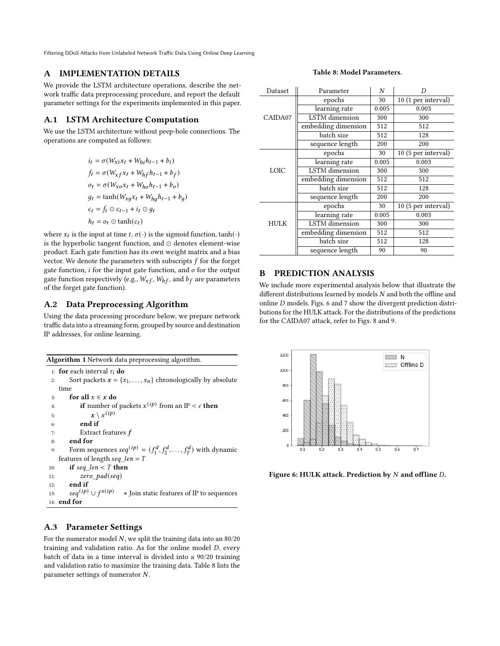## A IMPLEMENTATION DETAILS

We provide the LSTM architecture operations, describe the network traffic data preprocessing procedure, and report the default parameter settings for the experiments implemented in this paper.

## A.1 LSTM Architecture Computation

We use the LSTM architecture without peep-hole connections. The operations are computed as follows:

$$
i_t = \sigma(W_{xi}x_t + W_{hi}h_{t-1} + b_i)
$$
  
\n
$$
f_t = \sigma(W_{xf}x_t + W_{hf}h_{t-1} + b_f)
$$
  
\n
$$
o_t = \sigma(W_{xo}x_t + W_{ho}h_{t-1} + b_o)
$$
  
\n
$$
g_t = \tanh(W_{xg}x_t + W_{hg}h_{t-1} + b_g)
$$
  
\n
$$
c_t = f_t \odot c_{t-1} + i_t \odot g_t
$$
  
\n
$$
h_t = o_t \odot \tanh(c_t)
$$

where  $x_t$  is the input at time  $t, \sigma(\cdot)$  is the sigmoid function, tanh $(\cdot)$ is the hyperbolic tangent function, and ⊙ denotes element-wise product. Each gate function has its own weight matrix and a bias vector. We denote the parameters with subscripts  $f$  for the forget gate function,  $i$  for the input gate function, and  $o$  for the output gate function respectively (e.g.,  $W_{xf}$ ,  $W_{hf}$ , and  $b_f$  are parameters of the forget gate function).

# A.2 Data Preprocessing Algorithm

Using the data processing procedure below, we prepare network traffic data into a streaming form, grouped by source and destination IP addresses, for online learning.

| <b>Algorithm 1</b> Network data preprocessing algorithm.                                       |
|------------------------------------------------------------------------------------------------|
| 1: <b>for</b> each interval $\tau_i$ <b>do</b>                                                 |
| Sort packets $x = \{x_1, \ldots, x_n\}$ chronologically by absolute<br>2:                      |
| time                                                                                           |
| for all $x \in x$ do<br>3:                                                                     |
| <b>if</b> number of packets $x^{(ip)}$ from an IP < $\varepsilon$ then<br>4:                   |
| $x \setminus x^{(ip)}$<br>5:                                                                   |
| end if<br>6:                                                                                   |
| Extract features f<br>7:                                                                       |
| end for<br>8:                                                                                  |
| Form sequences $seq^{(ip)} = (f_1^d, f_2^d, \ldots, f_T^d)$ with dynamic<br>9:                 |
| features of length seq len = $T$                                                               |
| if seq len $\leq T$ then<br>10:                                                                |
| zero $pad(seq)$<br>11:                                                                         |
| end if<br>12:                                                                                  |
| $seq^{(ip)} \cup f^{s(ip)}$<br>$\triangleright$ Join static features of IP to sequences<br>13: |
| $14:$ end for                                                                                  |

# A.3 Parameter Settings

For the numerator model  $N$ , we split the training data into an 80/20 training and validation ratio. As for the online model  $D$ , every batch of data in a time interval is divided into a 90/20 training and validation ratio to maximize the training data. Table [8](#page-12-0) lists the parameter settings of numerator  $N$ .

#### Table 8: Model Parameters.

<span id="page-12-0"></span>

| Dataset | Parameter             | N     |                     |
|---------|-----------------------|-------|---------------------|
|         | epochs                | 30    | 10 (1 per interval) |
|         | learning rate         | 0.005 | 0.003               |
| CAIDA07 | LSTM dimension        | 300   | 300                 |
|         | embedding dimension   | 512   | 512                 |
|         | batch size            | 512   | 128                 |
|         | sequence length       | 200   | 200                 |
|         | epochs                | 30    | 10 (5 per interval) |
|         | learning rate         | 0.005 | 0.003               |
| LOIC    | LSTM dimension        | 300   | 300                 |
|         | embedding dimension   | 512   | 512                 |
|         | batch size            | 512   | 128                 |
|         | sequence length       | 200   | 200                 |
|         | epochs                | 30    | 10 (5 per interval) |
|         | learning rate         | 0.005 | 0.003               |
| HULK    | <b>LSTM</b> dimension | 300   | 300                 |
|         | embedding dimension   | 512   | 512                 |
|         | batch size            | 512   | 128                 |
|         | sequence length       | 90    | 90                  |

# B PREDICTION ANALYSIS

We include more experimental analysis below that illustrate the different distributions learned by models  $N$  and both the offline and online  $D$  models. Figs. [6](#page-12-1) and [7](#page-13-0) show the divergent prediction distributions for the HULK attack. For the distributions of the predictions for the CAIDA07 attack, refer to Figs. [8](#page-13-1) and [9.](#page-13-2)

<span id="page-12-1"></span>

Figure 6: HULK attack. Prediction by  $N$  and offline  $D$ .